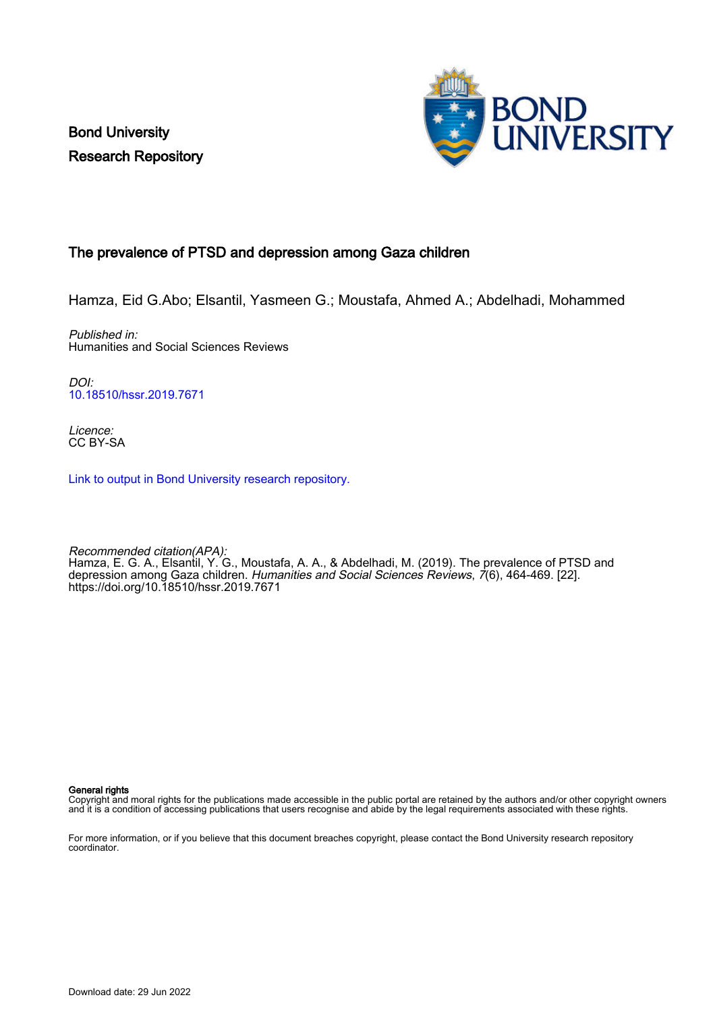Bond University Research Repository



## The prevalence of PTSD and depression among Gaza children

Hamza, Eid G.Abo; Elsantil, Yasmeen G.; Moustafa, Ahmed A.; Abdelhadi, Mohammed

Published in: Humanities and Social Sciences Reviews

DOI: [10.18510/hssr.2019.7671](https://doi.org/10.18510/hssr.2019.7671)

Licence: CC BY-SA

[Link to output in Bond University research repository.](https://research.bond.edu.au/en/publications/11227741-7144-46ba-8cb4-c474deb08094)

Recommended citation(APA): Hamza, E. G. A., Elsantil, Y. G., Moustafa, A. A., & Abdelhadi, M. (2019). The prevalence of PTSD and depression among Gaza children. *Humanities and Social Sciences Reviews*, 7(6), 464-469. [22]. <https://doi.org/10.18510/hssr.2019.7671>

General rights

Copyright and moral rights for the publications made accessible in the public portal are retained by the authors and/or other copyright owners and it is a condition of accessing publications that users recognise and abide by the legal requirements associated with these rights.

For more information, or if you believe that this document breaches copyright, please contact the Bond University research repository coordinator.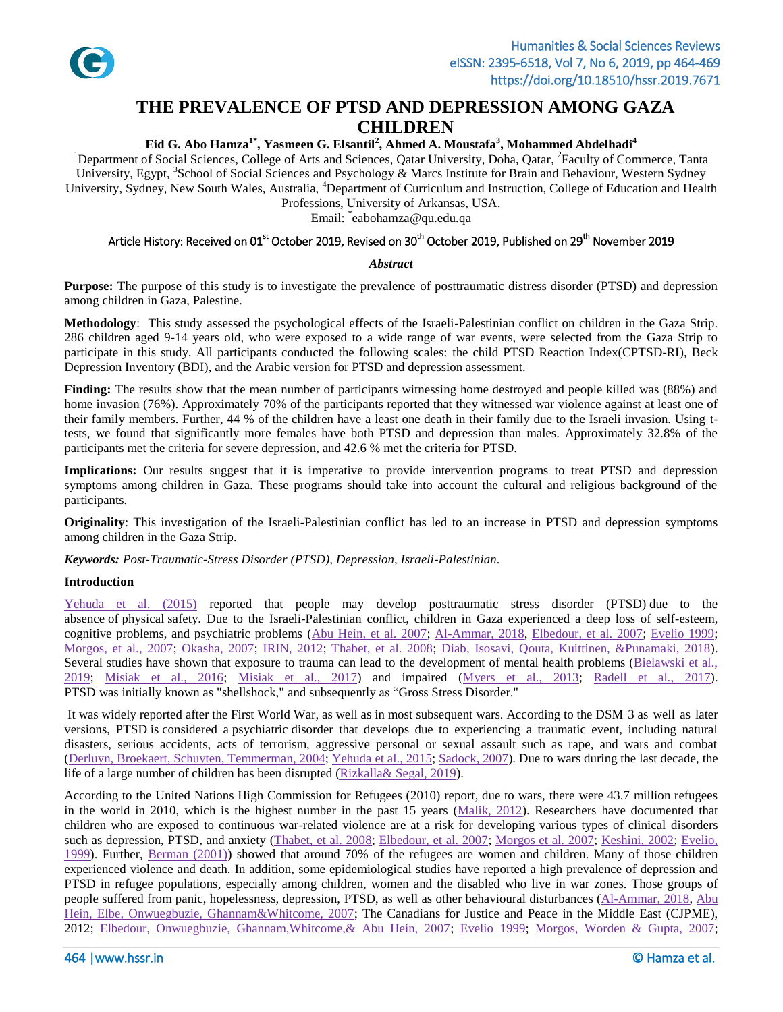

# **THE PREVALENCE OF PTSD AND DEPRESSION AMONG GAZA CHILDREN**

### **Eid G. Abo Hamza1\* , Yasmeen G. Elsantil<sup>2</sup> , Ahmed A. Moustafa<sup>3</sup> , Mohammed Abdelhadi<sup>4</sup>**

<sup>1</sup>Department of Social Sciences, College of Arts and Sciences, Qatar University, Doha, Qatar, <sup>2</sup>Faculty of Commerce, Tanta University, Egypt, <sup>3</sup>School of Social Sciences and Psychology & Marcs Institute for Brain and Behaviour, Western Sydney University, Sydney, New South Wales, Australia, <sup>4</sup>Department of Curriculum and Instruction, College of Education and Health

Professions, University of Arkansas, USA.

Email: \* eabohamza@qu.edu.qa

## Article History: Received on 01<sup>st</sup> October 2019, Revised on 30<sup>th</sup> October 2019, Published on 29<sup>th</sup> November 2019

#### *Abstract*

**Purpose:** The purpose of this study is to investigate the prevalence of posttraumatic distress disorder (PTSD) and depression among children in Gaza, Palestine.

**Methodology**: This study assessed the psychological effects of the Israeli-Palestinian conflict on children in the Gaza Strip. 286 children aged 9-14 years old, who were exposed to a wide range of war events, were selected from the Gaza Strip to participate in this study. All participants conducted the following scales: the child PTSD Reaction Index(CPTSD-RI), Beck Depression Inventory (BDI), and the Arabic version for PTSD and depression assessment.

**Finding:** The results show that the mean number of participants witnessing home destroyed and people killed was (88%) and home invasion (76%). Approximately 70% of the participants reported that they witnessed war violence against at least one of their family members. Further, 44 % of the children have a least one death in their family due to the Israeli invasion. Using ttests, we found that significantly more females have both PTSD and depression than males. Approximately 32.8% of the participants met the criteria for severe depression, and 42.6 % met the criteria for PTSD.

**Implications:** Our results suggest that it is imperative to provide intervention programs to treat PTSD and depression symptoms among children in Gaza. These programs should take into account the cultural and religious background of the participants.

**Originality**: This investigation of the Israeli-Palestinian conflict has led to an increase in PTSD and depression symptoms among children in the Gaza Strip.

*Keywords: Post-Traumatic-Stress Disorder (PTSD), Depression, Israeli-Palestinian.*

#### **Introduction**

[Yehuda et al. \(2015\)](#page-6-0) reported that people may develop posttraumatic stress disorder (PTSD) due to the absence of physical safety. Due to the Israeli-Palestinian conflict, children in Gaza experienced a deep loss of self-esteem, cognitive problems, and psychiatric problems [\(Abu Hein, et al. 2007;](#page-5-0) [Al-Ammar, 2018,](#page-5-1) [Elbedour, et al. 2007;](#page-5-2) [Evelio 1999;](#page-5-3) [Morgos, et al., 2007;](#page-6-1) [Okasha, 2007;](#page-6-2) [IRIN, 2012;](#page-5-4) [Thabet, et al. 2008;](#page-6-3) [Diab, Isosavi, Qouta, Kuittinen, &Punamaki, 2018\)](#page-5-5). Several studies have shown that exposure to trauma can lead to the development of mental health problems [\(Bielawski et al.,](#page-5-6)  [2019;](#page-5-6) Misiak [et al., 2016;](#page-5-7) [Misiak et al., 2017\)](#page-5-7) and impaired [\(Myers et al., 2013;](#page-6-4) [Radell et al., 2017\)](#page-6-5). PTSD was initially known as "shellshock," and subsequently as "Gross Stress Disorder."

It was widely reported after the First World War, as well as in most subsequent wars. According to the DSM 3 as well as later versions, PTSD is considered a psychiatric disorder that develops due to experiencing a traumatic event, including natural disasters, serious accidents, acts of terrorism, aggressive personal or sexual assault such as rape, and wars and combat [\(Derluyn, Broekaert, Schuyten, Temmerman, 2004;](#page-5-8) [Yehuda et al., 2015;](#page-6-0) [Sadock, 2007\)](#page-6-6). Due to wars during the last decade, the life of a large number of children has been disrupted [\(Rizkalla& Segal, 2019\)](#page-6-7).

According to the United Nations High Commission for Refugees (2010) report, due to wars, there were 43.7 million refugees in the world in 2010, which is the highest number in the past 15 years [\(Malik, 2012\)](#page-5-9). Researchers have documented that children who are exposed to continuous war-related violence are at a risk for developing various types of clinical disorders such as depression, PTSD, and anxiety [\(Thabet, et al. 2008;](#page-6-3) [Elbedour, et al. 2007;](#page-5-2) [Morgos et al. 2007;](#page-6-1) [Keshini, 2002;](#page-5-10) [Evelio,](#page-5-3)  [1999\)](#page-5-3). Further, [Berman \(2001\)\)](#page-5-11) showed that around 70% of the refugees are women and children. Many of those children experienced violence and death. In addition, some epidemiological studies have reported a high prevalence of depression and PTSD in refugee populations, especially among children, women and the disabled who live in war zones. Those groups of people suffered from panic, hopelessness, depression, PTSD, as well as other behavioural disturbances [\(Al-Ammar, 2018,](#page-5-1) [Abu](#page-5-0)  [Hein, Elbe, Onwuegbuzie, Ghannam&Whitcome, 2007;](#page-5-0) The Canadians for Justice and Peace in the Middle East (CJPME), 2012; [Elbedour, Onwuegbuzie, Ghannam,Whitcome,& Abu Hein, 2007;](#page-5-2) [Evelio 1999;](#page-5-3) [Morgos, Worden & Gupta, 2007;](#page-6-1)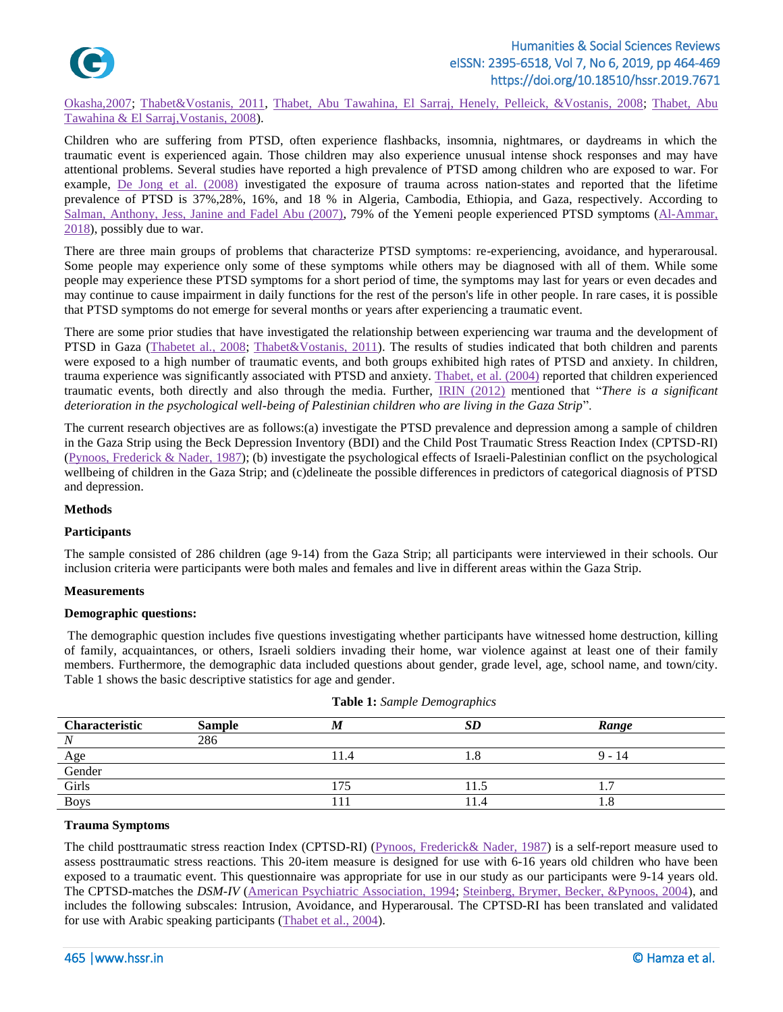

[Okasha,2007;](#page-6-2) [Thabet&Vostanis, 2011,](#page-6-8) [Thabet, Abu Tawahina, El Sarraj, Henely, Pelleick, &Vostanis, 2008; Thabet, Abu](#page-6-3)  [Tawahina & El Sarraj,Vostanis, 2008\)](#page-6-3).

Children who are suffering from PTSD, often experience flashbacks, insomnia, nightmares, or daydreams in which the traumatic event is experienced again. Those children may also experience unusual intense shock responses and may have attentional problems. Several studies have reported a high prevalence of PTSD among children who are exposed to war. For example, [De Jong et al. \(2008\)](#page-5-12) investigated the exposure of trauma across nation-states and reported that the lifetime prevalence of PTSD is 37%,28%, 16%, and 18 % in Algeria, Cambodia, Ethiopia, and Gaza, respectively. According to [Salman, Anthony, Jess, Janine and Fadel Abu \(2007\),](#page-6-9) 79% of the Yemeni people experienced PTSD symptoms [\(Al-Ammar,](#page-5-1)  [2018\)](#page-5-1), possibly due to war.

There are three main groups of problems that characterize PTSD symptoms: re-experiencing, avoidance, and hyperarousal. Some people may experience only some of these symptoms while others may be diagnosed with all of them. While some people may experience these PTSD symptoms for a short period of time, the symptoms may last for years or even decades and may continue to cause impairment in daily functions for the rest of the person's life in other people. In rare cases, it is possible that PTSD symptoms do not emerge for several months or years after experiencing a traumatic event.

There are some prior studies that have investigated the relationship between experiencing war trauma and the development of PTSD in Gaza [\(Thabetet al., 2008;](#page-6-10) [Thabet&Vostanis, 2011\)](#page-6-8). The results of studies indicated that both children and parents were exposed to a high number of traumatic events, and both groups exhibited high rates of PTSD and anxiety. In children, trauma experience was significantly associated with PTSD and anxiety. [Thabet, et al. \(2004\)](#page-6-11) reported that children experienced traumatic events, both directly and also through the media. Further, [IRIN \(2012\)](#page-5-4) mentioned that "*There is a significant deterioration in the psychological well-being of Palestinian children who are living in the Gaza Strip*".

The current research objectives are as follows:(a) investigate the PTSD prevalence and depression among a sample of children in the Gaza Strip using the Beck Depression Inventory (BDI) and the Child Post Traumatic Stress Reaction Index (CPTSD-RI) [\(Pynoos, Frederick & Nader,](#page-6-12) 1987); (b) investigate the psychological effects of Israeli-Palestinian conflict on the psychological wellbeing of children in the Gaza Strip; and (c)delineate the possible differences in predictors of categorical diagnosis of PTSD and depression.

#### **Methods**

#### **Participants**

The sample consisted of 286 children (age 9-14) from the Gaza Strip; all participants were interviewed in their schools. Our inclusion criteria were participants were both males and females and live in different areas within the Gaza Strip.

#### **Measurements**

#### **Demographic questions:**

The demographic question includes five questions investigating whether participants have witnessed home destruction, killing of family, acquaintances, or others, Israeli soldiers invading their home, war violence against at least one of their family members. Furthermore, the demographic data included questions about gender, grade level, age, school name, and town/city. Table 1 shows the basic descriptive statistics for age and gender.

| Characteristic | <b>Sample</b> |     | <b>SD</b> | Range                          |  |
|----------------|---------------|-----|-----------|--------------------------------|--|
|                | 286           |     |           |                                |  |
| Age            |               | 1.4 | 1.0       | 14<br>$\overline{\phantom{0}}$ |  |
| Gender         |               |     |           |                                |  |
| Girls          |               |     |           |                                |  |
| <b>Boys</b>    |               |     | 14        |                                |  |

|  |  |  | Table 1: Sample Demographics |  |
|--|--|--|------------------------------|--|
|--|--|--|------------------------------|--|

#### **Trauma Symptoms**

The child posttraumatic stress reaction Index (CPTSD-RI) [\(Pynoos, Frederick&](#page-6-12) Nader, 1987) is a self-report measure used to assess posttraumatic stress reactions. This 20-item measure is designed for use with 6-16 years old children who have been exposed to a traumatic event. This questionnaire was appropriate for use in our study as our participants were 9-14 years old. The CPTSD-matches the *DSM-IV* [\(American Psychiatric Association, 1994;](#page-5-13) [Steinberg, Brymer, Becker, &Pynoos, 2004\)](#page-6-13), and includes the following subscales: Intrusion, Avoidance, and Hyperarousal. The CPTSD-RI has been translated and validated for use with Arabic speaking participants [\(Thabet et al., 2004\)](#page-6-11).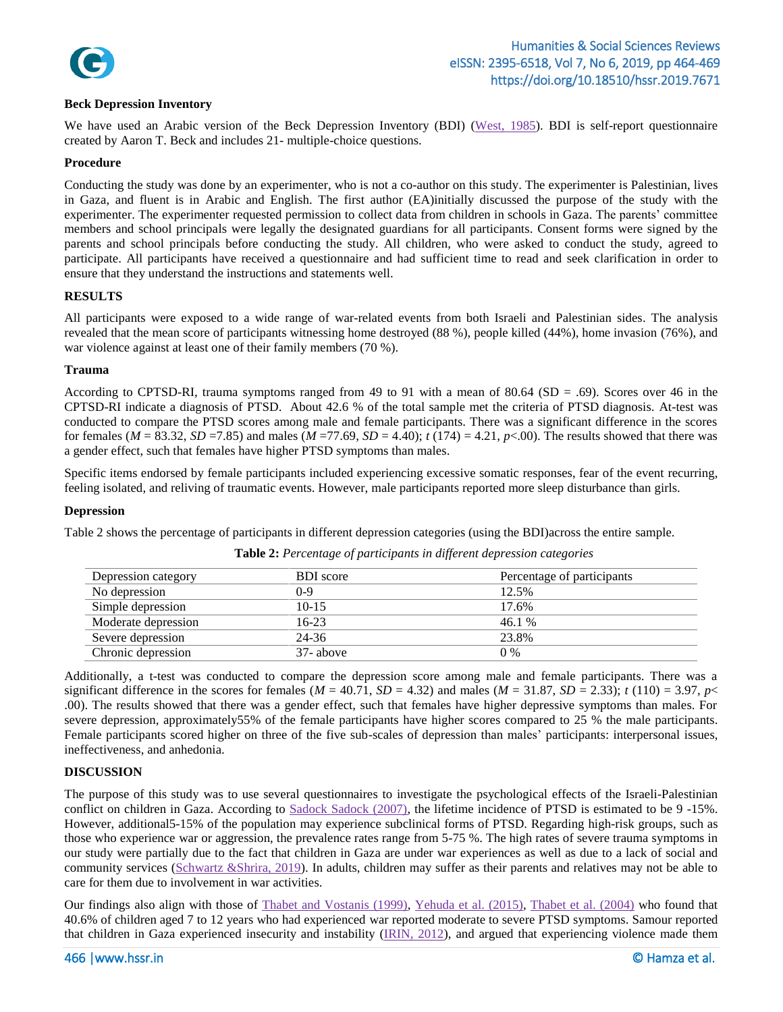

#### **Beck Depression Inventory**

We have used an Arabic version of the Beck Depression Inventory (BDI) [\(West, 1985\)](#page-6-14). BDI is [self-report questionnaire](http://en.wikipedia.org/wiki/Self-report_inventory) created by [Aaron T. Beck](http://en.wikipedia.org/wiki/Aaron_T._Beck) and includes 21- [multiple-choice](http://en.wikipedia.org/wiki/Multiple_choice) questions.

#### **Procedure**

Conducting the study was done by an experimenter, who is not a co-author on this study. The experimenter is Palestinian, lives in Gaza, and fluent is in Arabic and English. The first author (EA)initially discussed the purpose of the study with the experimenter. The experimenter requested permission to collect data from children in schools in Gaza. The parents' committee members and school principals were legally the designated guardians for all participants. Consent forms were signed by the parents and school principals before conducting the study. All children, who were asked to conduct the study, agreed to participate. All participants have received a questionnaire and had sufficient time to read and seek clarification in order to ensure that they understand the instructions and statements well.

#### **RESULTS**

All participants were exposed to a wide range of war-related events from both Israeli and Palestinian sides. The analysis revealed that the mean score of participants witnessing home destroyed (88 %), people killed (44%), home invasion (76%), and war violence against at least one of their family members (70 %).

#### **Trauma**

According to CPTSD-RI, trauma symptoms ranged from 49 to 91 with a mean of 80.64 (SD = .69). Scores over 46 in the CPTSD-RI indicate a diagnosis of PTSD. About 42.6 % of the total sample met the criteria of PTSD diagnosis. At-test was conducted to compare the PTSD scores among male and female participants. There was a significant difference in the scores for females ( $M = 83.32$ ,  $SD = 7.85$ ) and males ( $M = 77.69$ ,  $SD = 4.40$ );  $t(174) = 4.21$ ,  $p < .00$ ). The results showed that there was a gender effect, such that females have higher PTSD symptoms than males.

Specific items endorsed by female participants included experiencing excessive somatic responses, fear of the event recurring, feeling isolated, and reliving of traumatic events. However, male participants reported more sleep disturbance than girls.

#### **Depression**

Table 2 shows the percentage of participants in different depression categories (using the BDI)across the entire sample.

| Depression category | <b>BDI</b> score | Percentage of participants |
|---------------------|------------------|----------------------------|
| No depression       | 0-9              | 12.5%                      |
| Simple depression   | $10-15$          | 17.6%                      |
| Moderate depression | $16-23$          | 46.1%                      |
| Severe depression   | 24-36            | 23.8%                      |
| Chronic depression  | 37-above         | 0 %                        |

**Table 2:** *Percentage of participants in different depression categories*

Additionally, a t-test was conducted to compare the depression score among male and female participants. There was a significant difference in the scores for females ( $M = 40.71$ ,  $SD = 4.32$ ) and males ( $M = 31.87$ ,  $SD = 2.33$ );  $t(110) = 3.97$ ,  $p <$ .00). The results showed that there was a gender effect, such that females have higher depressive symptoms than males. For severe depression, approximately55% of the female participants have higher scores compared to 25 % the male participants. Female participants scored higher on three of the five sub-scales of depression than males' participants: interpersonal issues, ineffectiveness, and anhedonia.

#### **DISCUSSION**

The purpose of this study was to use several questionnaires to investigate the psychological effects of the Israeli-Palestinian conflict on children in Gaza. According to Sadock [Sadock \(2007\),](#page-6-6) the lifetime incidence of PTSD is estimated to be 9 -15%. However, additional5-15% of the population may experience subclinical forms of PTSD. Regarding high-risk groups, such as those who experience war or aggression, the prevalence rates range from 5-75 %. The high rates of severe trauma symptoms in our study were partially due to the fact that children in Gaza are under war experiences as well as due to a lack of social and community services [\(Schwartz &Shrira, 2019\)](#page-6-15). In adults, children may suffer as their parents and relatives may not be able to care for them due to involvement in war activities.

Our findings also align with those of [Thabet and Vostanis \(1999\),](#page-6-10) [Yehuda et al. \(2015\),](#page-6-0) [Thabet et al. \(2004\)](#page-6-11) who found that 40.6% of children aged 7 to 12 years who had experienced war reported moderate to severe PTSD symptoms. Samour reported that children in Gaza experienced insecurity and instability [\(IRIN, 2012\)](#page-5-4), and argued that experiencing violence made them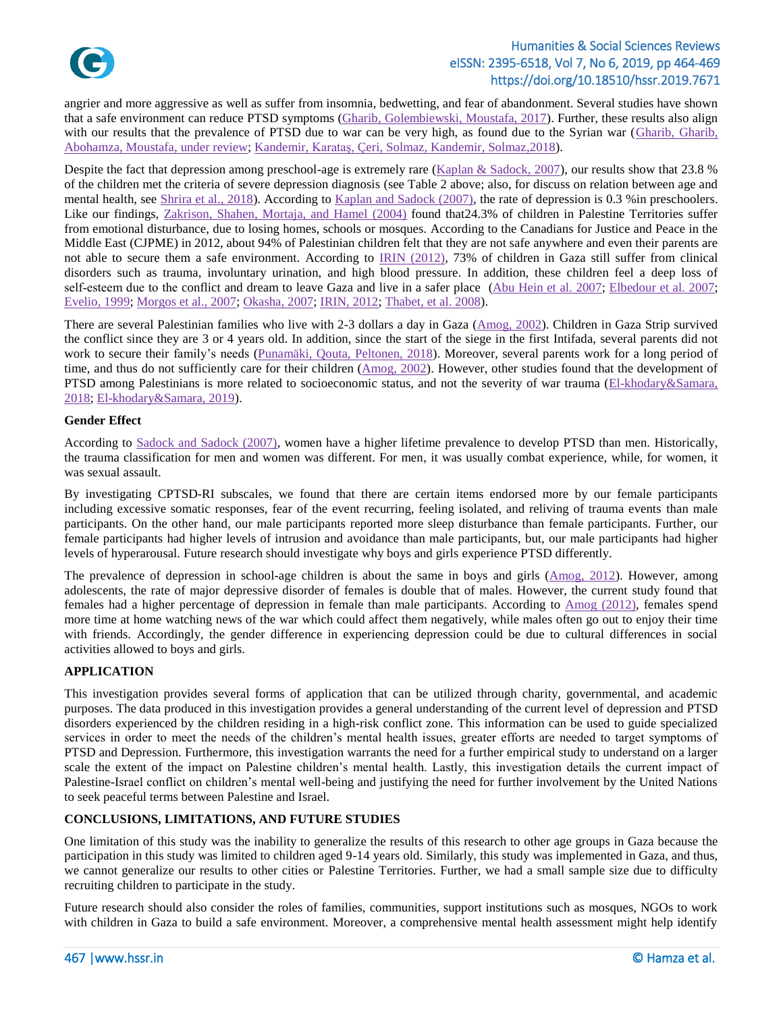

## Humanities & Social Sciences Reviews eISSN: 2395-6518, Vol 7, No 6, 2019, pp 464-469 https://doi.org/10.18510/hssr.2019.7671

angrier and more aggressive as well as suffer from insomnia, bedwetting, and fear of abandonment. Several studies have shown that a safe environment can reduce PTSD symptoms [\(Gharib, Golembiewski, Moustafa, 2017\)](#page-5-14). Further, these results also align with our results that the prevalence of PTSD due to war can be very high, as found due to the Syrian war ([Gharib,](#page-5-15) Gharib, [Abohamza, Moustafa, under review;](#page-5-15) Kandemir, Karataş, [Çeri, Solmaz, Kandemir, Solmaz,2018\)](#page-5-16).

Despite the fact that depression among preschool-age is extremely rare [\(Kaplan & Sadock, 2007\)](#page-6-6), our results show that 23.8 % of the children met the criteria of severe depression diagnosis (see Table 2 above; also, for discuss on relation between age and mental health, see [Shrira et al., 2018\)](#page-6-16). According to [Kaplan and Sadock \(2007\),](#page-6-6) the rate of depression is 0.3 %in preschoolers. Like our findings, [Zakrison, Shahen, Mortaja, and Hamel \(2004\)](#page-6-17) found that24.3% of children in Palestine Territories suffer from emotional disturbance, due to losing homes, schools or mosques. According to the Canadians for Justice and Peace in the Middle East (CJPME) in 2012, about 94% of Palestinian children felt that they are not safe anywhere and even their parents are not able to secure them a safe environment. According to [IRIN \(2012\),](#page-5-4) 73% of children in Gaza still suffer from clinical disorders such as trauma, involuntary urination, and high blood pressure. In addition, these children feel a deep loss of self-esteem due to the conflict and dream to leave Gaza and live in a safer place [\(Abu Hein et al. 2007;](#page-5-0) [Elbedour et al. 2007;](#page-5-2) [Evelio,](#page-5-3) 1999; [Morgos et al., 2007;](#page-6-1) [Okasha,](#page-6-2) 2007; [IRIN, 2012;](#page-5-4) [Thabet, et al. 2008\)](#page-6-10).

There are several Palestinian families who live with 2-3 dollars a day in Gaza [\(Amog, 2002\)](#page-5-17). Children in Gaza Strip survived the conflict since they are 3 or 4 years old. In addition, since the start of the siege in the first Intifada, several parents did not work to secure their family's needs [\(Punamäki, Qouta, Peltonen, 2018\)](#page-6-18). Moreover, several parents work for a long period of time, and thus do not sufficiently care for their children [\(Amog, 2002\)](#page-5-17). However, other studies found that the development of PTSD among Palestinians is more related to socioeconomic status, and not the severity of war trauma (El-khodary&Samara, [2018;](#page-5-18) [El-khodary&Samara, 2019\)](#page-5-19).

#### **Gender Effect**

According to [Sadock and Sadock \(2007\),](#page-6-6) women have a higher lifetime prevalence to develop PTSD than men. Historically, the trauma classification for men and women was different. For men, it was usually combat experience, while, for women, it was sexual assault.

By investigating CPTSD-RI subscales, we found that there are certain items endorsed more by our female participants including excessive somatic responses, fear of the event recurring, feeling isolated, and reliving of trauma events than male participants. On the other hand, our male participants reported more sleep disturbance than female participants. Further, our female participants had higher levels of intrusion and avoidance than male participants, but, our male participants had higher levels of hyperarousal. Future research should investigate why boys and girls experience PTSD differently.

The prevalence of depression in school-age children is about the same in boys and girls [\(Amog, 2012\)](#page-5-17). However, among adolescents, the rate of major depressive disorder of females is double that of males. However, the current study found that females had a higher percentage of depression in female than male participants. According to [Amog \(2012\),](#page-5-17) females spend more time at home watching news of the war which could affect them negatively, while males often go out to enjoy their time with friends. Accordingly, the gender difference in experiencing depression could be due to cultural differences in social activities allowed to boys and girls.

#### **APPLICATION**

This investigation provides several forms of application that can be utilized through charity, governmental, and academic purposes. The data produced in this investigation provides a general understanding of the current level of depression and PTSD disorders experienced by the children residing in a high-risk conflict zone. This information can be used to guide specialized services in order to meet the needs of the children's mental health issues, greater efforts are needed to target symptoms of PTSD and Depression. Furthermore, this investigation warrants the need for a further empirical study to understand on a larger scale the extent of the impact on Palestine children's mental health. Lastly, this investigation details the current impact of Palestine-Israel conflict on children's mental well-being and justifying the need for further involvement by the United Nations to seek peaceful terms between Palestine and Israel.

#### **CONCLUSIONS, LIMITATIONS, AND FUTURE STUDIES**

One limitation of this study was the inability to generalize the results of this research to other age groups in Gaza because the participation in this study was limited to children aged 9-14 years old. Similarly, this study was implemented in Gaza, and thus, we cannot generalize our results to other cities or Palestine Territories. Further, we had a small sample size due to difficulty recruiting children to participate in the study.

Future research should also consider the roles of families, communities, support institutions such as mosques, NGOs to work with children in Gaza to build a safe environment. Moreover, a comprehensive mental health assessment might help identify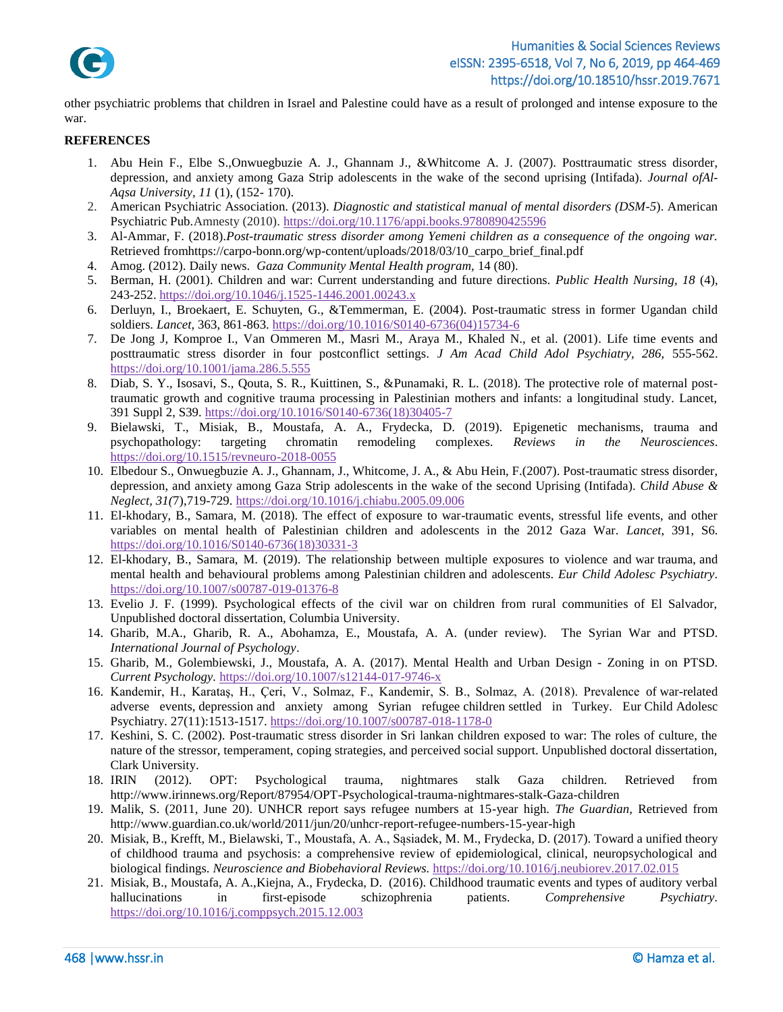

other psychiatric problems that children in Israel and Palestine could have as a result of prolonged and intense exposure to the war.

#### <span id="page-5-0"></span>**REFERENCES**

- 1. Abu Hein F., Elbe S.,Onwuegbuzie A. J., Ghannam J., &Whitcome A. J. (2007). Posttraumatic stress disorder, depression, and anxiety among Gaza Strip adolescents in the wake of the second uprising (Intifada). *Journal ofAl-Aqsa University, 11* (1), (152- 170).
- <span id="page-5-13"></span>2. American Psychiatric Association. (2013). *Diagnostic and statistical manual of mental disorders (DSM-5*). American Psychiatric Pub.Amnesty (2010). <https://doi.org/10.1176/appi.books.9780890425596>
- <span id="page-5-1"></span>3. Al-Ammar, F. (2018).*Post-traumatic stress disorder among Yemeni children as a consequence of the ongoing war.*  Retrieved fromhttps://carpo-bonn.org/wp-content/uploads/2018/03/10\_carpo\_brief\_final.pdf
- <span id="page-5-17"></span>4. Amog. (2012). Daily news. *Gaza Community Mental Health program,* 14 (80).
- <span id="page-5-11"></span>5. Berman, H. (2001). Children and war: Current understanding and future directions. *Public Health Nursing, 18* (4), 243-252.<https://doi.org/10.1046/j.1525-1446.2001.00243.x>
- <span id="page-5-8"></span>6. Derluyn, I., Broekaert, E. Schuyten, G., &Temmerman, E. (2004). Post-traumatic stress in former Ugandan child soldiers. *Lancet,* 363, 861-863. [https://doi.org/10.1016/S0140-6736\(04\)15734-6](https://doi.org/10.1016/S0140-6736(04)15734-6)
- <span id="page-5-12"></span>7. De Jong J, Komproe I., Van Ommeren M., Masri M., Araya M., Khaled N., et al. (2001). Life time events and posttraumatic stress disorder in four postconflict settings. *J Am Acad Child Adol Psychiatry, 286,* 555-562. <https://doi.org/10.1001/jama.286.5.555>
- <span id="page-5-5"></span>8. Diab, S. Y., Isosavi, S., Qouta, S. R., Kuittinen, S., &Punamaki, R. L. (2018). The protective role of maternal posttraumatic growth and cognitive trauma processing in Palestinian mothers and infants: a longitudinal study. Lancet, 391 Suppl 2, S39. [https://doi.org/10.1016/S0140-6736\(18\)30405-7](https://doi.org/10.1016/S0140-6736(18)30405-7)
- <span id="page-5-6"></span>9. Bielawski, T., Misiak, B., Moustafa, A. A., Frydecka, D. (2019). Epigenetic mechanisms, trauma and psychopathology: targeting chromatin remodeling complexes. *Reviews in the Neurosciences*. <https://doi.org/10.1515/revneuro-2018-0055>
- <span id="page-5-2"></span>10. Elbedour S., Onwuegbuzie A. J., Ghannam, J., Whitcome, J. A., & Abu Hein, F.(2007). Post-traumatic stress disorder, depression, and anxiety among Gaza Strip adolescents in the wake of the second Uprising (Intifada). *Child Abuse & Neglect, 31(*7),719-729. <https://doi.org/10.1016/j.chiabu.2005.09.006>
- <span id="page-5-18"></span>11. El-khodary, B., Samara, M. (2018). The effect of exposure to war-traumatic events, stressful life events, and other variables on mental health of Palestinian children and adolescents in the 2012 Gaza War. *Lancet*, 391, S6. [https://doi.org/10.1016/S0140-6736\(18\)30331-3](https://doi.org/10.1016/S0140-6736(18)30331-3)
- <span id="page-5-19"></span>12. El-khodary, B., Samara, M. (2019). The relationship between multiple exposures to violence and war trauma, and mental health and behavioural problems among Palestinian children and adolescents. *Eur Child Adolesc Psychiatry*. <https://doi.org/10.1007/s00787-019-01376-8>
- <span id="page-5-3"></span>13. Evelio J. F. (1999). Psychological effects of the civil war on children from rural communities of El Salvador, Unpublished doctoral dissertation, Columbia University.
- <span id="page-5-15"></span>14. Gharib, M.A., Gharib, R. A., Abohamza, E., Moustafa, A. A. (under review). The Syrian War and PTSD. *International Journal of Psychology*.
- <span id="page-5-14"></span>15. Gharib, M., Golembiewski, J., Moustafa, A. A. (2017). Mental Health and Urban Design - Zoning in on PTSD. *Current Psychology.* <https://doi.org/10.1007/s12144-017-9746-x>
- <span id="page-5-16"></span>16. Kandemir, H., Karataş, H., Çeri, V., Solmaz, F., Kandemir, S. B., Solmaz, A. (2018). Prevalence of war-related adverse events, depression and anxiety among Syrian refugee children settled in Turkey. Eur Child Adolesc Psychiatry. 27(11):1513-1517.<https://doi.org/10.1007/s00787-018-1178-0>
- <span id="page-5-10"></span>17. Keshini, S. C. (2002). Post-traumatic stress disorder in Sri lankan children exposed to war: The roles of culture, the nature of the stressor, temperament, coping strategies, and perceived social support. Unpublished doctoral dissertation, Clark University.
- <span id="page-5-4"></span>18. IRIN (2012). OPT: Psychological trauma, nightmares stalk Gaza children. Retrieved from http://www.irinnews.org/Report/87954/OPT-Psychological-trauma-nightmares-stalk-Gaza-children
- <span id="page-5-9"></span>19. Malik, S. (2011, June 20). UNHCR report says refugee numbers at 15-year high. *The Guardian,* Retrieved from http://www.guardian.co.uk/world/2011/jun/20/unhcr-report-refugee-numbers-15-year-high
- 20. Misiak, B., Krefft, M., Bielawski, T., Moustafa, A. A., Sąsiadek, M. M., Frydecka, D. (2017). Toward a unified theory of childhood trauma and psychosis: a comprehensive review of epidemiological, clinical, neuropsychological and biological findings. *Neuroscience and Biobehavioral Reviews.* <https://doi.org/10.1016/j.neubiorev.2017.02.015>
- <span id="page-5-7"></span>21. Misiak, B., Moustafa, A. A.,Kiejna, A., Frydecka, D. (2016). Childhood traumatic events and types of auditory verbal hallucinations in first-episode schizophrenia patients. *Comprehensive Psychiatry.*  <https://doi.org/10.1016/j.comppsych.2015.12.003>